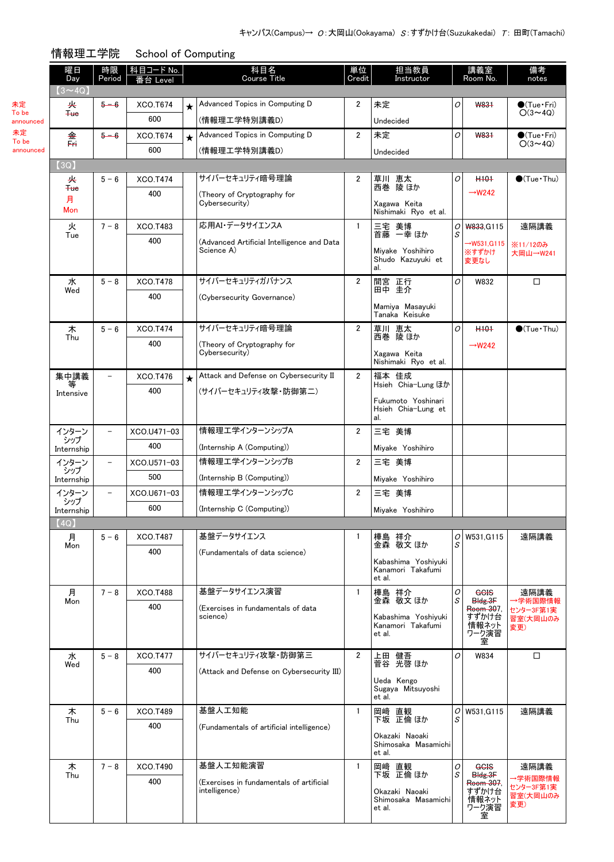担当教員 Instructor

講義室 Room No. 備考<br>notes

Course Title 番台 Level notes 単位 Credit

|  | 情報理工学院 | School of Computing |
|--|--------|---------------------|
|--|--------|---------------------|

科目コード No. | アンプランス 科目名

| 未定        |
|-----------|
| To be     |
| announced |
| 未定        |
| To be     |

announced

曜日 Day

時限 Period

| $(3 \sim 4Q)$     |                          |                 |         |                                                           |                |                                           |        |                         |                        |
|-------------------|--------------------------|-----------------|---------|-----------------------------------------------------------|----------------|-------------------------------------------|--------|-------------------------|------------------------|
| 夹                 | $5 - 6$                  | XCO.T674        | $\star$ | Advanced Topics in Computing D                            | $\overline{2}$ | 未定                                        | O      | W831                    | $\bullet$ (Tue•Fri)    |
| $4$               |                          | 600             |         | (情報理工学特別講義D)                                              |                | Undecided                                 |        |                         | $O(3 \sim 4Q)$         |
| 金                 | $5 - 6$                  | <b>XCO.T674</b> | $\star$ | Advanced Topics in Computing D                            | $\overline{2}$ | 未定                                        | O      | <b>W831</b>             | $\bullet$ (Tue•Fri)    |
| Fn.               |                          | 600             |         | (情報理工学特別講義D)                                              |                | Undecided                                 |        |                         | $O(3{\sim}4Q)$         |
| (3Q)              |                          |                 |         |                                                           |                |                                           |        |                         |                        |
| 夹<br>$4$          | $5 - 6$                  | <b>XCO.T474</b> |         | サイバーセキュリティ暗号理論                                            | $\overline{2}$ | 草川 恵太<br>西巻 陵 ほか                          | 0      | H <sub>101</sub>        | $\bigcirc$ (Tue · Thu) |
| 月                 |                          | 400             |         | (Theory of Cryptography for<br>Cybersecurity)             |                |                                           |        | $\rightarrow$ W242      |                        |
| Mon               |                          |                 |         |                                                           |                | Xagawa Keita<br>Nishimaki Ryo et al.      |        |                         |                        |
| 火<br>Tue          | $7 - 8$                  | XCO.T483        |         | 応用AI・データサイエンスA                                            | $\mathbf{1}$   | 三宅 美博<br>首藤 一幸ほか                          | 0<br>S | <b>W833, G115</b>       | 遠隔講義                   |
|                   |                          | 400             |         | (Advanced Artificial Intelligence and Data<br>Science A)  |                | Miyake Yoshihiro                          |        | $\rightarrow$ W531,G115 | ※11/12のみ               |
|                   |                          |                 |         |                                                           |                | Shudo Kazuyuki et                         |        | ※すずかけ<br>変更なし           | 大岡山→W241               |
| 水                 | $5 - 8$                  | XCO.T478        |         | サイバーセキュリティガバナンス                                           | $\overline{2}$ | al.<br>間宮 正行                              | O      | W832                    | □                      |
| Wed               |                          | 400             |         | (Cybersecurity Governance)                                |                | 田中 圭介                                     |        |                         |                        |
|                   |                          |                 |         |                                                           |                | Mamiya Masayuki<br>Tanaka Keisuke         |        |                         |                        |
| 木                 | $5 - 6$                  | <b>XCO.T474</b> |         | サイバーセキュリティ暗号理論                                            | $\overline{2}$ | 草川 恵太                                     | O      | H <sub>101</sub>        | $\bigcirc$ (Tue · Thu) |
| Thu               |                          | 400             |         | (Theory of Cryptography for                               |                | 西巻 陵 ほか                                   |        | $\rightarrow$ W242      |                        |
|                   |                          |                 |         | Cybersecurity)                                            |                | Xagawa Keita<br>Nishimaki Ryo et al.      |        |                         |                        |
| 集中講義              | $\overline{\phantom{a}}$ | XCO.T476        | $\star$ | Attack and Defense on Cybersecurity II                    | $\overline{2}$ | 福本 佳成<br>Hsieh Chia-Lung ほか               |        |                         |                        |
| Intensive         |                          | 400             |         | (サイバーセキュリティ攻撃・防御第二)                                       |                | Fukumoto Yoshinari                        |        |                         |                        |
|                   |                          |                 |         |                                                           |                | Hsieh Chia-Lung et<br>al.                 |        |                         |                        |
| インターン             |                          | XCO.U471-03     |         | 情報理エ学インターンシップA                                            | $\overline{2}$ | 三宅 美博                                     |        |                         |                        |
| シップ<br>Internship |                          | 400             |         | (Internship A (Computing))                                |                | Miyake Yoshihiro                          |        |                         |                        |
| インターン             | -                        | XCO.U571-03     |         | 情報理エ学インターンシップB                                            | $\overline{2}$ | 三宅 美博                                     |        |                         |                        |
| シップ<br>Internship |                          | 500             |         | (Internship B (Computing))                                |                | Miyake Yoshihiro                          |        |                         |                        |
| インターン             |                          | XCO.U671-03     |         | 情報理エ学インターンシップC                                            | $\overline{2}$ | 三宅 美博                                     |        |                         |                        |
| シップ<br>Internship |                          | 600             |         | (Internship C (Computing))                                |                | Mivake Yoshihiro                          |        |                         |                        |
| (4Q)              |                          |                 |         |                                                           |                |                                           |        |                         |                        |
| 月<br>Mon          | $5 - 6$                  | <b>XCO.T487</b> |         | 基盤データサイエンス                                                | 1              | 樺島 祥介<br>金森 敬文 ほか                         | 0<br>S | W531.G115               | 遠隔講義                   |
|                   |                          | 400             |         | (Fundamentals of data science)                            |                | Kabashima Yoshiyuki                       |        |                         |                        |
|                   |                          |                 |         |                                                           |                | Kanamori Takafumi<br>et al.               |        |                         |                        |
| 月                 | $7 - 8$                  | <b>XCO.T488</b> |         | 基盤データサイエンス演習                                              | $\mathbf{1}$   | 樺島 祥介<br>金森 敬文 ほか                         | 0<br>S | GGIS                    | 遠隔講義                   |
| Mon               |                          | 400             |         | (Exercises in fundamentals of data<br>science)            |                |                                           |        | Bldg.3F<br>Room 307,    | →学術国際情報<br>センター3F第1実   |
|                   |                          |                 |         |                                                           |                | Kabashima Yoshiyuki<br>Kanamori Takafumi  |        | すずかけ台<br>情報ネット<br>ワーク演習 | 習室(大岡山のみ<br>変更)        |
|                   |                          |                 |         |                                                           |                | et al.                                    |        | 室                       |                        |
| 水                 | $5 - 8$                  | XCO.T477        |         | サイバーセキュリティ攻撃・防御第三                                         | $\overline{2}$ | 上田 健吾<br>菅谷 光啓 ほか                         | O      | W834                    | $\Box$                 |
| Wed               |                          | 400             |         | (Attack and Defense on Cybersecurity III)                 |                |                                           |        |                         |                        |
|                   |                          |                 |         |                                                           |                | Ueda Kengo<br>Sugaya Mitsuyoshi<br>et al. |        |                         |                        |
| 木                 | $5 - 6$                  | <b>XCO.T489</b> |         | 基盤人工知能                                                    | $\mathbf{1}$   | 岡崎 直観                                     | 0      | W531, G115              | 遠隔講義                   |
| Thu               |                          | 400             |         | (Fundamentals of artificial intelligence)                 |                | 下坂 正倫 ほか                                  | S      |                         |                        |
|                   |                          |                 |         |                                                           |                | Okazaki Naoaki<br>Shimosaka Masamichi     |        |                         |                        |
|                   |                          |                 |         |                                                           |                | et al.                                    |        |                         |                        |
| 木<br>Thu          | $7 - 8$                  | XCO.T490        |         | 基盤人工知能演習                                                  | $\mathbf{1}$   | 岡﨑 直観<br>下坂 正倫ほか                          | 0<br>S | GGIS<br>Bldg.3F         | 遠隔講義                   |
|                   |                          | 400             |         | (Exercises in fundamentals of artificial<br>intelligence) |                | Okazaki Naoaki                            |        | Room 307,<br>すずかけ台      | →学術国際情報<br>センター3F第1実   |
|                   |                          |                 |         |                                                           |                | Shimosaka Masamichi<br>et al.             |        | 情報ネット<br>ワーク演習          | 習室(大岡山のみ<br>変更)        |
|                   |                          |                 |         |                                                           |                |                                           |        | 室                       |                        |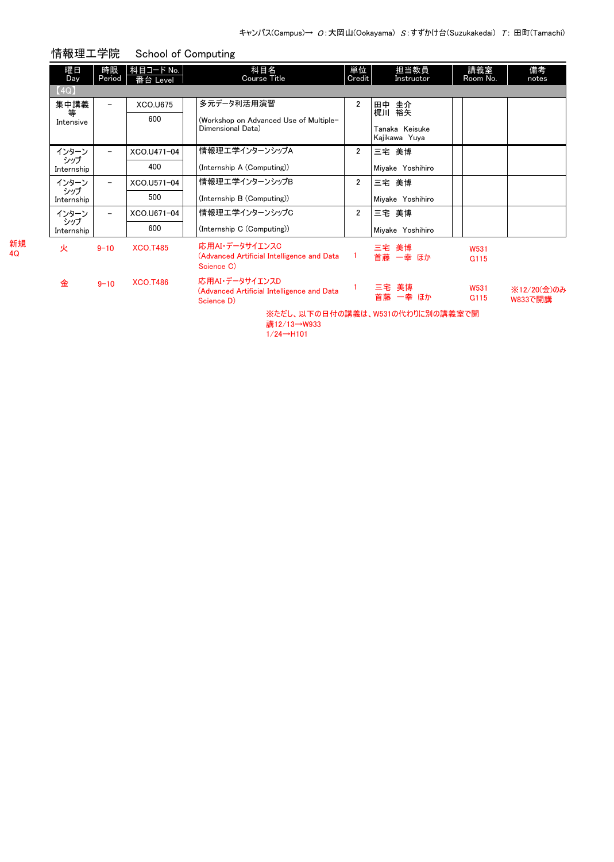|          | 曜日<br><b>Day</b>  | 時限<br>Period | 科目コード No.<br>番台 Level | 科目名<br>Course Title                                                        | 単位<br>Credit   | 担当教員<br>Instructor              | 講義室<br>Room No.          | 備考<br>notes            |
|----------|-------------------|--------------|-----------------------|----------------------------------------------------------------------------|----------------|---------------------------------|--------------------------|------------------------|
|          | (4Q)              |              |                       |                                                                            |                |                                 |                          |                        |
|          | 集中講義<br>等         |              | <b>XCO.U675</b>       | 多元データ利活用演習                                                                 | $\overline{2}$ | 田中 圭介<br>梶川 裕矢                  |                          |                        |
|          | Intensive         |              | 600                   | (Workshop on Advanced Use of Multiple-                                     |                |                                 |                          |                        |
|          |                   |              |                       | Dimensional Data)                                                          |                | Tanaka Keisuke<br>Kajikawa Yuya |                          |                        |
|          | インターン<br>シップ      | -            | XCO.U471-04           | 情報理工学インターンシップA                                                             | $\overline{2}$ | 三宅 美博                           |                          |                        |
|          | Internship        |              | 400                   | (Internship A (Computing))                                                 |                | Miyake Yoshihiro                |                          |                        |
|          | インターン<br>シップ      | Ξ.           | XCO.U571-04           | 情報理エ学インターンシップB                                                             | $\overline{2}$ | 三宅 美博                           |                          |                        |
|          | Internship        |              | 500                   | (Internship B (Computing))                                                 |                | Miyake Yoshihiro                |                          |                        |
|          | インターン             | Ξ.           | XCO.U671-04           | 情報理エ学インターンシップC                                                             | $\overline{2}$ | 三宅 美博                           |                          |                        |
|          | シップ<br>Internship |              | 600                   | (Internship C (Computing))                                                 |                | Miyake Yoshihiro                |                          |                        |
| 新規<br>40 | 火                 | $9 - 10$     | <b>XCO.T485</b>       | 応用AI・データサイエンスC<br>(Advanced Artificial Intelligence and Data<br>Science C) | $\mathbf{1}$   | 三宅 美博<br>首藤 一幸 ほか               | W531<br>G <sub>115</sub> |                        |
|          | 金                 | $9 - 10$     | <b>XCO.T486</b>       | 応用AI・データサイエンスD<br>(Advanced Artificial Intelligence and Data<br>Science D) |                | 三宅 美博<br>首藤 一幸 ほか               | W531<br>G <sub>115</sub> | ※12/20(金)のみ<br>W833で開講 |
|          |                   |              |                       |                                                                            |                | ※ただし、以下の日付の講義は、W531の代わりに別の講義室で開 |                          |                        |

情報理工学院 School of Computing

講12/13→W933  $1/24 \rightarrow H101$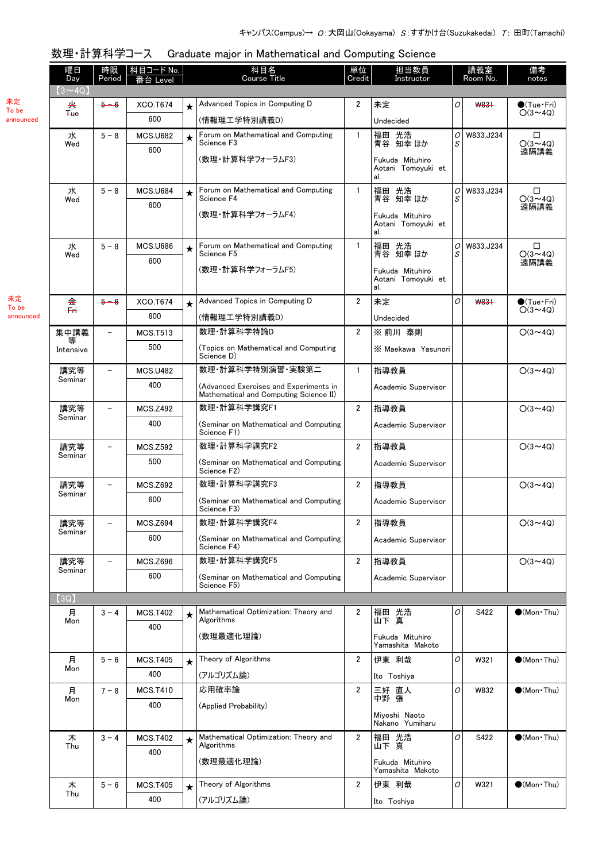## 数理・計算科学コース Graduate major in Mathematical and Computing Science

|             | 曜日<br>Day      | .<br>時限<br>Period        | 科目コード No.<br>番台 Level  | 科目名<br>単位<br>担当教員<br>Course Title<br>Credit<br>Instructor |                                                                                  |                |                                                          | 備考<br>講義室<br>Room No.<br>notes |             |                                         |
|-------------|----------------|--------------------------|------------------------|-----------------------------------------------------------|----------------------------------------------------------------------------------|----------------|----------------------------------------------------------|--------------------------------|-------------|-----------------------------------------|
|             | $(3 \sim 4Q)$  |                          |                        |                                                           |                                                                                  |                |                                                          |                                |             |                                         |
| 未定<br>To be | 夹<br>$He$      | $5 - 6$                  | XCO.T674               | $\star$                                                   | Advanced Topics in Computing D                                                   | 2              | 未定                                                       | 0                              | W831        | $\bullet$ (Tue · Fri)<br>$O(3 \sim 4Q)$ |
| announced   |                |                          | 600                    |                                                           | (情報理工学特別講義D)                                                                     |                | Undecided                                                |                                |             |                                         |
|             | 水<br>Wed       | $5 - 8$                  | <b>MCS.U682</b><br>600 | $\star$                                                   | Forum on Mathematical and Computing<br>Science F3                                | 1              | 福田 光浩<br>青谷 知幸 ほか                                        | O <br>S                        | W833, J234  | □<br>$O(3 \sim 4Q)$<br>遠隔講義             |
|             |                |                          |                        |                                                           | (数理・計算科学フォーラムF3)                                                                 |                | Fukuda Mituhiro<br>Aotani Tomovuki et<br>al.             |                                |             |                                         |
|             | 水              | $5 - 8$                  | <b>MCS.U684</b>        | $\star$                                                   | Forum on Mathematical and Computing                                              | $\mathbf{1}$   | 光浩<br>福田                                                 | $\overline{O}$                 | W833, J234  | □                                       |
|             | Wed            |                          | 600                    |                                                           | Science F4<br>(数理・計算科学フォーラムF4)                                                   |                | 青谷 知幸 ほか<br>Fukuda Mituhiro<br>Aotani Tomoyuki et<br>al. | S                              |             | $O(3 \sim 4Q)$<br>遠隔講義                  |
|             | 水              | $5 - 8$                  | <b>MCS.U686</b>        | $\star$                                                   | Forum on Mathematical and Computing                                              | $\mathbf{1}$   | 光浩<br>福田                                                 | $\overline{O}$                 | W833, J234  | $\Box$                                  |
|             | Wed            |                          | 600                    |                                                           | Science F5<br>(数理・計算科学フォーラムF5)                                                   |                | 青谷 知幸 ほか<br>Fukuda Mituhiro<br>Aotani Tomoyuki et<br>al. | S                              |             | $O(3 \sim 4Q)$<br>遠隔講義                  |
| 未定<br>To be | 金              | $5 - 6$                  | XCO.T674               | $\star$                                                   | Advanced Topics in Computing D                                                   | $\overline{2}$ | 未定                                                       | 0                              | <b>W831</b> | $\bullet$ (Tue•Fri)                     |
| announced   | $\overline{a}$ |                          | 600                    |                                                           | (情報理工学特別講義D)                                                                     |                | Undecided                                                |                                |             | $O(3 \sim 4Q)$                          |
|             | 集中講義           | $\overline{\phantom{0}}$ | <b>MCS.T513</b>        |                                                           | 数理·計算科学特論D                                                                       | $\overline{2}$ | ※前川 泰則                                                   |                                |             | $O(3 \sim 4Q)$                          |
|             | 等<br>Intensive |                          | 500                    |                                                           | (Topics on Mathematical and Computing<br>Science D)                              |                | X Maekawa Yasunori                                       |                                |             |                                         |
|             | 講究等            | $\overline{\phantom{0}}$ | <b>MCS.U482</b>        |                                                           | 数理 計算科学特別演習 実験第二                                                                 | $\mathbf{1}$   | 指導教員                                                     |                                |             | $O(3 \sim 4Q)$                          |
|             | Seminar        |                          | 400                    |                                                           | (Advanced Exercises and Experiments in<br>Mathematical and Computing Science II) |                | Academic Supervisor                                      |                                |             |                                         |
|             | 講究等            | $\overline{\phantom{0}}$ | <b>MCS.Z492</b>        |                                                           | 数理·計算科学講究F1                                                                      | $\overline{2}$ | 指導教員                                                     |                                |             | $O(3 \sim 4Q)$                          |
|             | Seminar        |                          | 400                    |                                                           | (Seminar on Mathematical and Computing<br>Science F1)                            |                | Academic Supervisor                                      |                                |             |                                         |
|             | 講究等            | $\qquad \qquad -$        | <b>MCS.Z592</b>        |                                                           | 数理·計算科学講究F2                                                                      | $\overline{2}$ | 指導教員                                                     |                                |             | $O(3 \sim 4Q)$                          |
|             | Seminar        |                          | 500                    |                                                           | (Seminar on Mathematical and Computing<br>Science F2)                            |                | Academic Supervisor                                      |                                |             |                                         |
|             | 講究等            | $\qquad \qquad -$        | <b>MCS.Z692</b>        |                                                           | 数理·計算科学講究F3                                                                      | $\overline{2}$ | 指導教員                                                     |                                |             | $O(3 \sim 4Q)$                          |
|             | Seminar        |                          | 600                    |                                                           | (Seminar on Mathematical and Computing<br>Science F3)                            |                | Academic Supervisor                                      |                                |             |                                         |
|             | 講究等            | $\overline{\phantom{a}}$ | <b>MCS.Z694</b>        |                                                           | 数理·計算科学講究F4                                                                      | $\overline{2}$ | 指導教員                                                     |                                |             | $O(3 \sim 4Q)$                          |
|             | Seminar        |                          | 600                    |                                                           | (Seminar on Mathematical and Computing<br>Science F4)                            |                | Academic Supervisor                                      |                                |             |                                         |
|             | 講究等<br>Seminar | -                        | <b>MCS.Z696</b>        |                                                           | 数理·計算科学講究F5                                                                      | $\overline{2}$ | 指導教員                                                     |                                |             | $O(3 \sim 4Q)$                          |
|             |                |                          | 600                    |                                                           | (Seminar on Mathematical and Computing<br>Science F5)                            |                | Academic Supervisor                                      |                                |             |                                         |
|             | (3Q)           |                          |                        |                                                           |                                                                                  |                |                                                          |                                |             |                                         |
|             | 月<br>Mon       | $3 - 4$                  | <b>MCS.T402</b><br>400 | ★                                                         | Mathematical Optimization: Theory and<br>Algorithms                              | 2              | 福田 光浩<br>山下 真                                            | 0                              | S422        | $\bullet$ (Mon Thu)                     |
|             |                |                          |                        |                                                           | (数理最適化理論)                                                                        |                | Fukuda Mituhiro<br>Yamashita Makoto                      |                                |             |                                         |
|             | 月              | $5 - 6$                  | <b>MCS.T405</b>        | $\star$                                                   | Theory of Algorithms                                                             | $\overline{2}$ | 伊東 利哉                                                    | 0                              | W321        | $\bullet$ (Mon Thu)                     |
|             | Mon            |                          | 400                    |                                                           | (アルゴリズム論)                                                                        |                | Ito Toshiya                                              |                                |             |                                         |
|             | 月              | $7 - 8$                  | <b>MCS.T410</b>        |                                                           | 応用確率論                                                                            | $\overline{2}$ | 三好 直人<br>中野 張                                            | 0                              | W832        | $\bigcirc$ (Mon Thu)                    |
|             | Mon            |                          | 400                    |                                                           | (Applied Probability)                                                            |                | Miyoshi Naoto<br>Nakano Yumiharu                         |                                |             |                                         |
|             | 木              | $3 - 4$                  | <b>MCS.T402</b>        | $\star$                                                   | Mathematical Optimization: Theory and                                            | 2              | 福田 光浩                                                    | 0                              | S422        | $\bigcirc$ (Mon Thu)                    |
|             | Thu            |                          | 400                    |                                                           | Algorithms<br>(数理最適化理論)                                                          |                | 山下真<br>Fukuda Mituhiro                                   |                                |             |                                         |
|             |                |                          |                        |                                                           |                                                                                  |                | Yamashita Makoto                                         |                                |             |                                         |
|             | 木<br>Thu       | $5 - 6$                  | <b>MCS.T405</b><br>400 | $\star$                                                   | Theory of Algorithms                                                             | $\overline{2}$ | 伊東 利哉                                                    | ${\cal O}$                     | W321        | $\bullet$ (Mon Thu)                     |
|             |                |                          |                        |                                                           | (アルゴリズム論)                                                                        |                | Ito Toshiya                                              |                                |             |                                         |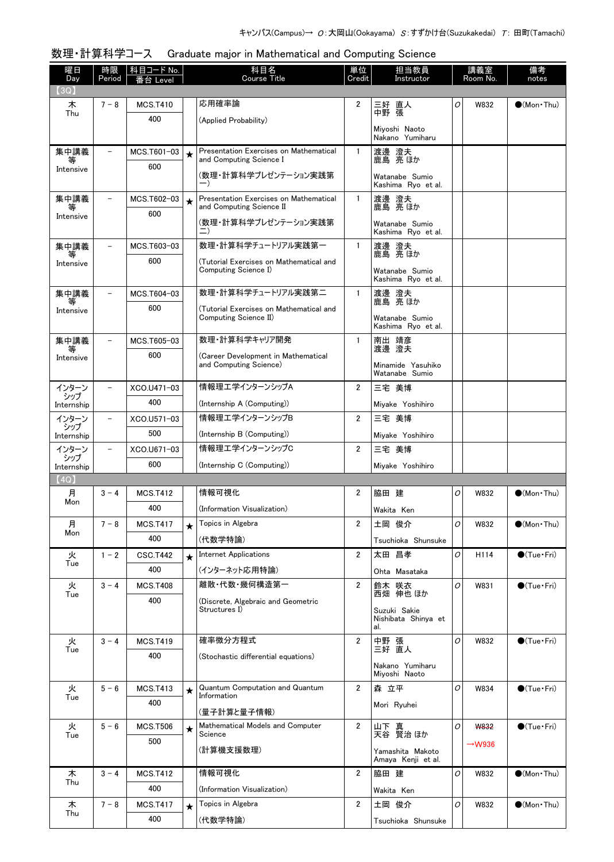| 数理・計算科学コース Graduate major in Mathematical and Computing Science |
|-----------------------------------------------------------------|
|                                                                 |

| 曜日<br>Day         | 時限<br>Period             | 科目コード No.<br>番台 Level  |         | 科目名<br><b>Course Title</b>                                                | 単位<br>Credit   | 担当教員<br>Instructor                         |   | 備考<br>講義室<br>Room No.<br>notes |                        |
|-------------------|--------------------------|------------------------|---------|---------------------------------------------------------------------------|----------------|--------------------------------------------|---|--------------------------------|------------------------|
| 3Q)               |                          |                        |         | 応用確率論                                                                     | $\overline{2}$ |                                            | O |                                |                        |
| 木<br>Thu          | $7 - 8$                  | <b>MCS.T410</b><br>400 |         |                                                                           |                | 三好 直人<br>中野 張                              |   | W832                           | $\bigcirc$ (Mon Thu)   |
|                   |                          |                        |         | (Applied Probability)                                                     |                | Miyoshi Naoto<br>Nakano Yumiharu           |   |                                |                        |
| 集中講義<br>等         | $\overline{\phantom{0}}$ | MCS.T601-03            | $\star$ | Presentation Exercises on Mathematical<br>and Computing Science I         | $\mathbf{1}$   | 渡邊 澄夫<br>鹿島 亮 ほか                           |   |                                |                        |
| Intensive         |                          | 600                    |         | (数理・計算科学プレゼンテーション実践第<br>—)                                                |                | Watanabe Sumio<br>Kashima Ryo et al.       |   |                                |                        |
| 集中講義<br>等         | $\overline{\phantom{a}}$ | MCS.T602-03            | $\star$ | <b>Presentation Exercises on Mathematical</b><br>and Computing Science II | $\mathbf{1}$   | 渡邊 澄夫<br>鹿島 亮 ほか                           |   |                                |                        |
| Intensive         |                          | 600                    |         | (数理・計算科学プレゼンテーション実践第                                                      |                | Watanabe Sumio<br>Kashima Ryo et al.       |   |                                |                        |
| 集中講義              |                          | MCS.T603-03            |         | 数理・計算科学チュートリアル実践第一                                                        | $\mathbf{1}$   | 渡邊 澄夫                                      |   |                                |                        |
| Intensive         |                          | 600                    |         | (Tutorial Exercises on Mathematical and                                   |                | 鹿島 亮 ほか                                    |   |                                |                        |
|                   |                          |                        |         | Computing Science I)                                                      |                | Watanabe Sumio<br>Kashima Ryo et al.       |   |                                |                        |
| 集中講義<br>等         |                          | MCS.T604-03            |         | 数理・計算科学チュートリアル実践第二                                                        | $\mathbf{1}$   | 渡邊 澄夫<br>鹿島 亮 ほか                           |   |                                |                        |
| Intensive         |                          | 600                    |         | (Tutorial Exercises on Mathematical and<br>Computing Science II)          |                | Watanabe Sumio<br>Kashima Ryo et al.       |   |                                |                        |
| 集中講義              | $\qquad \qquad -$        | MCS.T605-03            |         | 数理・計算科学キャリア開発                                                             | $\mathbf{1}$   | 南出 靖彦<br>渡邊 澄夫                             |   |                                |                        |
| 等<br>Intensive    |                          | 600                    |         | (Career Development in Mathematical<br>and Computing Science)             |                | Minamide Yasuhiko<br>Watanabe Sumio        |   |                                |                        |
| インターン             |                          | XCO.U471-03            |         | 情報理エ学インターンシップA                                                            | $\overline{2}$ | 三宅 美博                                      |   |                                |                        |
| シップ<br>Internship |                          | 400                    |         | (Internship A (Computing))                                                |                | Miyake Yoshihiro                           |   |                                |                        |
| インターン             |                          | XCO.U571-03            |         | 情報理エ学インターンシップB                                                            | $\mathbf{2}$   | 三宅 美博                                      |   |                                |                        |
| シップ<br>Internship |                          | 500                    |         | (Internship B (Computing))                                                |                | Miyake Yoshihiro                           |   |                                |                        |
| インターン             | $\overline{a}$           | XCO.U671-03            |         | 情報理エ学インターンシップC                                                            | $\overline{2}$ | 三宅 美博                                      |   |                                |                        |
| シップ<br>Internship |                          | 600                    |         | (Internship C (Computing))                                                |                | Miyake Yoshihiro                           |   |                                |                        |
| (4Q)              |                          |                        |         |                                                                           |                |                                            |   |                                |                        |
| 月<br>Mon          | $3 - 4$                  | <b>MCS.T412</b>        |         | 情報可視化                                                                     | $\overline{2}$ | 脇田 建                                       | O | W832                           | $\bullet$ (Mon Thu)    |
|                   |                          | 400                    |         | (Information Visualization)                                               |                | Wakita Ken                                 |   |                                |                        |
| 月<br>Mon          | $7 - 8$                  | <b>MCS.T417</b>        | $\star$ | Topics in Algebra                                                         | $\overline{2}$ | 土岡 俊介                                      | 0 | W832                           | $\bullet$ (Mon•Thu)    |
|                   |                          | 400                    |         | (代数学特論)                                                                   |                | Tsuchioka Shunsuke                         |   |                                |                        |
| 火<br>Tue          | $1 - 2$                  | <b>CSC.T442</b>        | $\star$ | <b>Internet Applications</b>                                              | $\overline{2}$ | 太田 昌孝                                      | O | H114                           | $\bigcirc$ (Tue · Fri) |
|                   |                          | 400                    |         | (インターネット応用特論)<br>離散 代数 幾何構造第一                                             |                | Ohta Masataka                              |   |                                |                        |
| 火<br>Tue          | $3 - 4$                  | <b>MCS.T408</b><br>400 |         |                                                                           | $\overline{2}$ | 鈴木 咲衣<br>西畑 伸也 ほか                          | 0 | W831                           | $\bigcirc$ (Tue · Fri) |
|                   |                          |                        |         | (Discrete, Algebraic and Geometric<br>Structures I)                       |                | Suzuki Sakie<br>Nishibata Shinya et<br>al. |   |                                |                        |
| 火                 | $3 - 4$                  | <b>MCS.T419</b>        |         | 確率微分方程式                                                                   | $\overline{2}$ | 中野 張                                       | 0 | W832                           | $\bigcirc$ (Tue · Fri) |
| Tue               |                          | 400                    |         | (Stochastic differential equations)                                       |                | 三好 直人                                      |   |                                |                        |
|                   |                          |                        |         |                                                                           |                | Nakano Yumiharu<br>Miyoshi Naoto           |   |                                |                        |
| 火<br>Tue          | $5 - 6$                  | <b>MCS.T413</b>        | $\star$ | <b>Quantum Computation and Quantum</b><br>Information                     | $\overline{2}$ | 森 立平                                       | O | W834                           | $\bigcirc$ (Tue · Fri) |
|                   |                          | 400                    |         | (量子計算と量子情報)                                                               |                | Mori Ryuhei                                |   |                                |                        |
| 火                 | $5 - 6$                  | <b>MCS.T506</b>        | $\star$ | Mathematical Models and Computer                                          | $\overline{2}$ | 山下 真<br>天谷 賢治 ほか                           | 0 | <b>W832</b>                    | $\bigcirc$ (Tue · Fri) |
| Tue               |                          | 500                    |         | Science<br>(計算機支援数理)                                                      |                | Yamashita Makoto                           |   | $\rightarrow$ W936             |                        |
| 木                 | $3 - 4$                  | <b>MCS.T412</b>        |         | 情報可視化                                                                     | $\overline{2}$ | Amaya Kenji et al.<br>脇田 建                 | O | W832                           | $\bullet$ (Mon Thu)    |
| Thu               |                          | 400                    |         | (Information Visualization)                                               |                | Wakita Ken                                 |   |                                |                        |
| 木                 | $7 - 8$                  | <b>MCS.T417</b>        | $\star$ | Topics in Algebra                                                         | $\overline{2}$ | 土岡 俊介                                      | 0 | W832                           | $\bullet$ (Mon Thu)    |
| Thu               |                          | 400                    |         | (代数学特論)                                                                   |                | Tsuchioka Shunsuke                         |   |                                |                        |
|                   |                          |                        |         |                                                                           |                |                                            |   |                                |                        |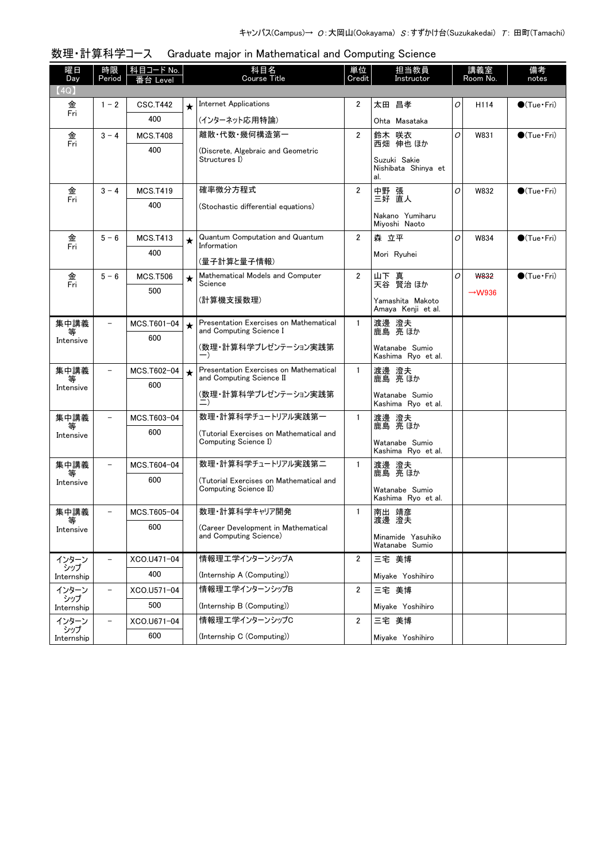| 曜日<br>Day         | 時限<br>Period             | 科目コード No.<br>Level |         | 科目名<br>Course Title                                                | 単位<br>Credit            | 担当教員<br>Instructor                           |   | 講義室<br>Room No.    | 備考<br>notes            |
|-------------------|--------------------------|--------------------|---------|--------------------------------------------------------------------|-------------------------|----------------------------------------------|---|--------------------|------------------------|
| (4Q)              |                          |                    |         |                                                                    |                         |                                              |   |                    |                        |
| 金                 | $1 - 2$                  | <b>CSC.T442</b>    |         | <b>Internet Applications</b>                                       | 2                       | 太田 昌孝                                        | 0 | H114               | $\bigcirc$ (Tue · Fri) |
| Fri               |                          | 400                |         | (インターネット応用特論)                                                      |                         | Ohta Masataka                                |   |                    |                        |
| 金<br>Fri          | $3 - 4$                  | <b>MCS.T408</b>    |         | 離散・代数・幾何構造第一                                                       | 2                       | 鈴木 咲衣<br>西畑 伸也 ほか                            | 0 | W831               | $\bullet$ (Tue•Fri)    |
|                   |                          | 400                |         | (Discrete, Algebraic and Geometric<br>Structures I)                |                         | Suzuki Sakie<br>Nishibata Shinya et<br>al.   |   |                    |                        |
| 金                 | $3 - 4$                  | <b>MCS.T419</b>    |         | 確率微分方程式                                                            | $\overline{2}$          | 中野 張<br>三好 直人                                | 0 | W832               | $\bullet$ (Tue · Fri)  |
| Fri               |                          | 400                |         | (Stochastic differential equations)                                |                         | Nakano Yumiharu<br>Miyoshi Naoto             |   |                    |                        |
| 金<br>Fri          | $5 - 6$                  | <b>MCS.T413</b>    | $\star$ | Quantum Computation and Quantum<br>Information                     | $\overline{2}$          | 森 立平                                         | 0 | W834               | $\bigcirc$ (Tue · Fri) |
|                   |                          | 400                |         | (量子計算と量子情報)                                                        |                         | Mori Ryuhei                                  |   |                    |                        |
| 金<br>Fri          | $5 - 6$                  | <b>MCS.T506</b>    | $\star$ | Mathematical Models and Computer<br>Science                        | $\overline{2}$          | 山下 真<br>天谷 賢治 ほか                             | 0 | <b>W832</b>        | $\bigcirc$ (Tue · Fri) |
|                   |                          | 500                |         | (計算機支援数理)                                                          |                         | Yamashita Makoto<br>Amaya Kenji et al.       |   | $\rightarrow$ W936 |                        |
| 集中講義<br>等         | $\qquad \qquad -$        | MCS.T601-04        | $\star$ | Presentation Exercises on Mathematical<br>and Computing Science I  | $\mathbf{1}$            | 渡邊 澄夫<br>鹿島 亮ほか                              |   |                    |                        |
| Intensive         |                          | 600                |         | (数理・計算科学プレゼンテーション実践第<br>$-$ )                                      |                         | Watanabe Sumio<br>Kashima Ryo et al.         |   |                    |                        |
| 集中講義<br>等         |                          | MCS.T602-04        | $\star$ | Presentation Exercises on Mathematical<br>and Computing Science II | $\mathbf{1}$            | 渡邊 澄夫<br>鹿島 亮ほか                              |   |                    |                        |
| Intensive         |                          | 600                |         | (数理・計算科学プレゼンテーション実践第<br>二)                                         |                         | Watanabe Sumio<br>Kashima Ryo et al.         |   |                    |                        |
| 集中講義              |                          | MCS.T603-04        |         | 数理・計算科学チュートリアル実践第一                                                 | 1                       | 渡邊 澄夫<br>鹿島 亮 ほか                             |   |                    |                        |
| Intensive         |                          | 600                |         | (Tutorial Exercises on Mathematical and<br>Computing Science I)    |                         | Watanabe Sumio<br>Kashima Ryo et al.         |   |                    |                        |
| 集中講義              | $\qquad \qquad -$        | MCS.T604-04        |         | 数理・計算科学チュートリアル実践第二                                                 | $\mathbf{1}$            | 渡邊 澄夫<br>鹿島 亮 ほか                             |   |                    |                        |
| 等<br>Intensive    |                          | 600                |         | (Tutorial Exercises on Mathematical and<br>Computing Science II)   |                         | Watanabe Sumio<br>Kashima Ryo et al.         |   |                    |                        |
| 集中講義              | $\overline{\phantom{a}}$ | MCS.T605-04        |         | 数理・計算科学キャリア開発                                                      | 1                       | 南出 靖彦                                        |   |                    |                        |
| Intensive         |                          | 600                |         | (Career Development in Mathematical<br>and Computing Science)      |                         | 渡邊 澄夫<br>Minamide Yasuhiko<br>Watanabe Sumio |   |                    |                        |
| インターン             |                          | XCO.U471-04        |         | 情報理工学インターンシップA                                                     | $\overline{2}$          | 三宅 美博                                        |   |                    |                        |
| シップ<br>Internship |                          | 400                |         | (Internship A (Computing))                                         |                         | Mivake Yoshihiro                             |   |                    |                        |
| インターン<br>シップ      | $\qquad \qquad -$        | XCO.U571-04        |         | 情報理エ学インターンシップB                                                     | $\overline{2}$          | 三宅 美博                                        |   |                    |                        |
| Internship        |                          | 500                |         | (Internship B (Computing))                                         |                         | Miyake Yoshihiro                             |   |                    |                        |
| インターン<br>シップ      | $\qquad \qquad -$        | XCO.U671-04        |         | 情報理エ学インターンシップC                                                     | $\overline{\mathbf{2}}$ | 三宅 美博                                        |   |                    |                        |
| Internship        |                          | 600                |         | (Internship C (Computing))                                         |                         | Miyake Yoshihiro                             |   |                    |                        |

## 数理・計算科学コース Graduate major in Mathematical and Computing Science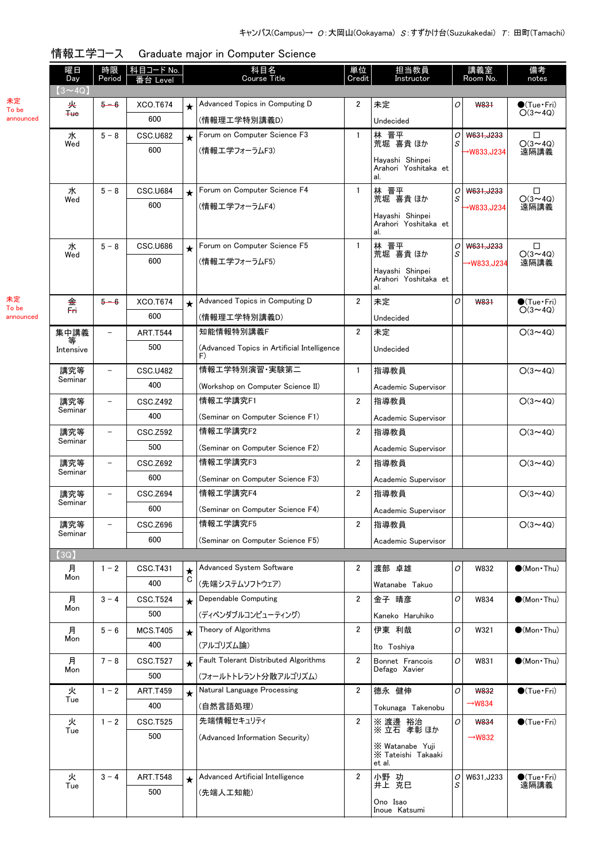| 情報工学コース Graduate major in Computer Science |
|--------------------------------------------|

|             | 曜日<br>Day     | 時限<br>Period             | <u>科目コード No.</u><br>番台 Level |         | 科目名<br><b>Course Title</b>                        | 単位<br>Credit   | 担当教員<br>Instructor                              |        | 講義室<br>Room No.    | 備考<br>notes                           |
|-------------|---------------|--------------------------|------------------------------|---------|---------------------------------------------------|----------------|-------------------------------------------------|--------|--------------------|---------------------------------------|
|             | $(3 \sim 4Q)$ |                          |                              |         |                                                   |                |                                                 |        |                    |                                       |
| 未定<br>To be | 夹             | $5 - 6$                  | XCO.T674                     | $\star$ | Advanced Topics in Computing D                    | 2              | 未定                                              | O      | W831               | $\bullet$ (Tue•Fri)                   |
| announced   | $4$           |                          | 600                          |         | (情報理工学特別講義D)                                      |                | Undecided                                       |        |                    | $O(3 \sim 4Q)$                        |
|             | 水             | $5 - 8$                  | <b>CSC.U682</b>              | $\star$ | Forum on Computer Science F3                      | 1              | 林 晋平<br>荒堀 喜貴ほか                                 | 0      | W631, J233         | □                                     |
|             | Wed           |                          | 600                          |         | (情報エ学フォーラムF3)                                     |                |                                                 | S      | →W833,J234         | $O(3 \sim 4Q)$<br>遠隔講義                |
|             |               |                          |                              |         |                                                   |                | Hayashi Shinpei<br>Arahori Yoshitaka et         |        |                    |                                       |
|             |               |                          |                              |         |                                                   |                | al.                                             |        |                    |                                       |
|             | 水<br>Wed      | $5 - 8$                  | CSC.U684                     | $\star$ | Forum on Computer Science F4                      | 1              | 林 晋平<br>荒堀 喜貴 ほか                                | 0<br>S | W631, J233         | □<br>$O(3 \sim 4Q)$                   |
|             |               |                          | 600                          |         | (情報工学フォーラムF4)                                     |                | Hayashi Shinpei                                 |        | →W833,J234         | 遠隔講義                                  |
|             |               |                          |                              |         |                                                   |                | Arahori Yoshitaka et<br>al.                     |        |                    |                                       |
|             | 水             | $5 - 8$                  | <b>CSC.U686</b>              | $\star$ | Forum on Computer Science F5                      | 1              | 林 晋平                                            | 0      | W631, J233         | □                                     |
|             | Wed           |                          | 600                          |         | (情報エ学フォーラムF5)                                     |                | 荒堀 喜貴 ほか                                        | S      | →W833,J234         | $O(3 \sim 4Q)$<br>遠隔講義                |
|             |               |                          |                              |         |                                                   |                | Havashi Shinpei<br>Arahori Yoshitaka et         |        |                    |                                       |
|             |               |                          |                              |         |                                                   |                | al.                                             |        |                    |                                       |
| 未定<br>To be | 金<br>F٣       | $5 - 6$                  | <b>XCO.T674</b>              | $\star$ | Advanced Topics in Computing D                    | $\overline{2}$ | 未定                                              | 0      | <b>W831</b>        | $\bullet$ (Tue•Fri)<br>$O(3 \sim 4Q)$ |
| announced   |               |                          | 600                          |         | (情報理工学特別講義D)                                      |                | Undecided                                       |        |                    |                                       |
|             | 集中講義<br>等     | $\overline{\phantom{0}}$ | <b>ART.T544</b>              |         | 知能情報特別講義F                                         | $\overline{2}$ | 未定                                              |        |                    | $O(3 \sim 4Q)$                        |
|             | Intensive     |                          | 500                          |         | (Advanced Topics in Artificial Intelligence<br>F) |                | Undecided                                       |        |                    |                                       |
|             | 講究等           | $\qquad \qquad -$        | <b>CSC.U482</b>              |         | 情報工学特別演習・実験第二                                     | $\mathbf{1}$   | 指導教員                                            |        |                    | $O(3 \sim 4Q)$                        |
|             | Seminar       |                          | 400                          |         | (Workshop on Computer Science II)                 |                | Academic Supervisor                             |        |                    |                                       |
|             | 講究等           |                          | <b>CSC.Z492</b>              |         | 情報工学講究F1                                          | 2              | 指導教員                                            |        |                    | $O(3 \sim 4Q)$                        |
|             | Seminar       |                          | 400                          |         | (Seminar on Computer Science F1)                  |                | Academic Supervisor                             |        |                    |                                       |
|             | 講究等           | $\overline{\phantom{m}}$ | <b>CSC.Z592</b>              |         | 情報工学講究F2                                          | $\overline{2}$ | 指導教員                                            |        |                    | $O(3 \sim 4Q)$                        |
|             | Seminar       |                          | 500                          |         | (Seminar on Computer Science F2)                  |                | Academic Supervisor                             |        |                    |                                       |
|             | 講究等           |                          | <b>CSC.Z692</b>              |         | 情報工学講究F3                                          | 2              | 指導教員                                            |        |                    | $O(3 \sim 4Q)$                        |
|             | Seminar       |                          | 600                          |         | (Seminar on Computer Science F3)                  |                | Academic Supervisor                             |        |                    |                                       |
|             | 講究等           |                          | <b>CSC.Z694</b>              |         | 情報工学講究F4                                          | $\overline{2}$ | 指導教員                                            |        |                    | $O(3 \sim 4Q)$                        |
|             | Seminar       |                          | 600                          |         | (Seminar on Computer Science F4)                  |                | Academic Supervisor                             |        |                    |                                       |
|             | 講究等           |                          | CSC.Z696                     |         | 情報工学講究F5                                          | $\overline{2}$ | 指導教員                                            |        |                    | $O(3 \sim 4Q)$                        |
|             | Seminar       |                          | 600                          |         | (Seminar on Computer Science F5)                  |                | Academic Supervisor                             |        |                    |                                       |
|             | (3Q)          |                          |                              |         |                                                   |                |                                                 |        |                    |                                       |
|             | 月             | $1 - 2$                  | CSC.T431                     | $\star$ | <b>Advanced System Software</b>                   | 2              | 渡部 卓雄                                           | O      | W832               | $\bullet$ (Mon Thu)                   |
|             | Mon           |                          | 400                          | C       | (先端システムソフトウェア)                                    |                | Watanabe Takuo                                  |        |                    |                                       |
|             | 月             | $3 - 4$                  | CSC.T524                     | $\star$ | Dependable Computing                              | $\overline{2}$ | 金子 晴彦                                           | O      | W834               | $\bullet$ (Mon Thu)                   |
|             | Mon           |                          | 500                          |         | (ディペンダブルコンピューティング)                                |                | Kaneko Haruhiko                                 |        |                    |                                       |
|             | 月             | $5 - 6$                  | <b>MCS.T405</b>              | $\star$ | Theory of Algorithms                              | 2              | 伊東 利哉                                           | O      | W321               | $(Mon$ Thu)                           |
|             | Mon           |                          | 400                          |         | (アルゴリズム論)                                         |                | Ito Toshiya                                     |        |                    |                                       |
|             | 月             | $7 - 8$                  | CSC.T527                     | $\star$ | Fault Tolerant Distributed Algorithms             | 2              | Bonnet Francois                                 | O      | W831               | $\bullet$ (Mon Thu)                   |
|             | Mon           |                          | 500                          |         | (フォールトトレラント分散アルゴリズム)                              |                | Defago Xavier                                   |        |                    |                                       |
|             | 火             | $1 - 2$                  | <b>ART.T459</b>              | $\star$ | Natural Language Processing                       | 2              | 德永 健伸                                           | 0      | <b>W832</b>        | $\bigcirc$ (Tue · Fri)                |
|             | Tue           |                          | 400                          |         | (自然言語処理)                                          |                | Tokunaga Takenobu                               |        | →W834              |                                       |
|             | 火             | $1 - 2$                  | <b>CSC.T525</b>              |         | 先端情報セキュリティ                                        | $\overline{2}$ | ※ 渡邊 裕治                                         | 0      | <b>W834</b>        | $\bullet$ (Tue · Fri)                 |
|             | Tue           |                          | 500                          |         | (Advanced Information Security)                   |                | ※立石 孝彰ほか                                        |        | $\rightarrow$ W832 |                                       |
|             |               |                          |                              |         |                                                   |                | X Watanabe Yuji<br>X Tateishi Takaaki<br>et al. |        |                    |                                       |
|             | 火             | $3 - 4$                  | <b>ART.T548</b>              | $\star$ | Advanced Artificial Intelligence                  | $\overline{2}$ | 小野 功                                            | 0      | W631, J233         | $\bullet$ (Tue Fri)                   |
|             | Tue           |                          | 500                          |         | (先端人工知能)                                          |                | 井上 克巳                                           | S      |                    | 遠隔講義                                  |
|             |               |                          |                              |         |                                                   |                | Ono Isao<br>Inoue Katsumi                       |        |                    |                                       |

未定 To be ann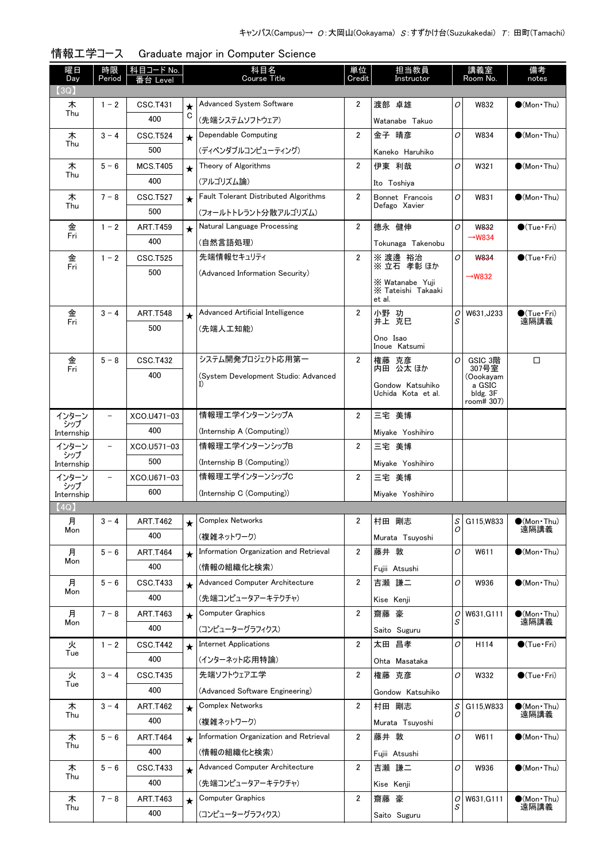| (3Q)<br>Advanced System Software<br>渡部 卓雄<br>2<br>0<br>W832<br>$\bigcirc$ (Mon Thu)<br>木<br>$1 - 2$<br>CSC.T431<br>$\star$<br>Thu<br>C<br>400<br>(先端システムソフトウェア)<br>Watanabe Takuo<br>Dependable Computing<br>$\overline{2}$<br>金子 晴彦<br>木<br>$3 - 4$<br><b>CSC.T524</b><br>0<br>W834<br>$\bigcirc$ (Mon Thu)<br>$\star$<br>Thu<br>500<br>(ディペンダブルコンピューティング)<br>Kaneko Haruhiko<br>Theory of Algorithms<br>2<br>O<br>$5 - 6$<br><b>MCS.T405</b><br>伊東 利哉<br>W321<br>$\bigcirc$ (Mon Thu)<br>木<br>$\star$<br>Thu<br>400<br>(アルゴリズム論)<br>Ito Toshiya<br>Fault Tolerant Distributed Algorithms<br>$\overline{2}$<br>O<br>Bonnet Francois<br>W831<br>$\bullet$ (Mon•Thu)<br>木<br>$7 - 8$<br><b>CSC.T527</b><br>$\star$<br>Thu<br>Defago Xavier<br>500<br>(フォールトトレラント分散アルゴリズム)<br>$\overline{2}$<br>Natural Language Processing<br>0<br>金<br>德永 健伸<br><b>W832</b><br>$\bigcirc$ (Tue · Fri)<br>$1 - 2$<br><b>ART.T459</b><br>Fri<br>$\rightarrow$ W834<br>400<br>(自然言語処理)<br>Tokunaga Takenobu<br>先端情報セキュリティ<br>金<br>$1 - 2$<br>2<br>$\bigcirc$ (Tue·Fri)<br><b>CSC.T525</b><br>※ 渡邊 裕治<br>0<br>W834<br>Fri<br>※立石 孝彰ほか<br>500<br>(Advanced Information Security)<br>$\rightarrow$ W832<br>X Watanabe Yuji<br>X Tateishi Takaaki<br>et al.<br>$\overline{2}$<br>金<br>$3 - 4$<br><b>ART.T548</b><br>Advanced Artificial Intelligence<br>小野 功<br>W631, J233<br>$\bullet$ (Tue · Fri)<br>0<br>$\star$<br>井上 克巳<br>遠隔講義<br>S<br>Fri<br>500<br>(先端人工知能)<br>Ono Isao<br>Inoue Katsumi<br>システム開発プロジェクト応用第一<br>$\overline{2}$<br>0<br>金<br>$5 - 8$<br><b>CSC.T432</b><br>GSIC 3階<br>□<br>権藤 克彦<br>内田 公太 ほか<br>307号室<br>Fri<br>400<br>(System Development Studio: Advanced<br>(Oookayam<br>Gondow Katsuhiko<br>a GSIC<br>Uchida Kota et al.<br>bldg. 3F<br>room# 307)<br>情報理エ学インターンシップA<br>三宅 美博<br>$\overline{2}$<br>インターン<br>$\overline{\phantom{0}}$<br>XCO.U471-03<br>シップ<br>400<br>(Internship A (Computing))<br>Miyake Yoshihiro<br>Internship<br>情報理エ学インターンシップB<br>インターン<br>$\overline{\phantom{0}}$<br>XCO.U571-03<br>2<br>三宅 美博<br>シップ<br>500<br>(Internship B (Computing))<br>Miyake Yoshihiro<br>Internship<br>情報理エ学インターンシップC<br>インターン<br>XCO.U671-03<br>2<br>三宅 美博<br>$\overline{\phantom{0}}$<br>シップ<br>600<br>(Internship C (Computing))<br>Miyake Yoshihiro<br>Internship<br>(4Q)<br>$S$ G115, W833<br>Complex Networks<br>村田 剛志<br>月<br>$3 - 4$<br><b>ART.T462</b><br>$\bullet$ (Mon · Thu)<br>遠隔講義<br>0<br>Mon<br>400<br>(複雑ネットワーク)<br>Murata Tsuyoshi<br>Information Organization and Retrieval<br>2<br>0<br>$5 - 6$<br>藤井 敦<br>W611<br>$\bullet$ (Mon Thu)<br>月<br><b>ART.T464</b><br>$\star$<br>Mon<br>400<br>(情報の組織化と検索)<br>Fujii Atsushi<br>Advanced Computer Architecture<br>$5 - 6$<br>2<br>吉瀬 謙二<br>0<br>月<br><b>CSC.T433</b><br>W936<br>$\bullet$ (Mon Thu)<br>$\star$<br>Mon<br>400<br>(先端コンピュータアーキテクチャ)<br>Kise Kenji<br>2<br><b>Computer Graphics</b><br>月<br>$7 - 8$<br>齋藤 豪<br>W631, G111<br>$\bullet$ (Mon•Thu)<br>ART.T463<br>0<br>$\star$<br>S<br>遠隔講義<br>Mon<br>400<br>(コンピューターグラフィクス)<br>Saito Suguru<br><b>Internet Applications</b><br>2<br>太田 昌孝<br>$\bigcirc$ (Tue · Fri)<br>火<br>0<br>H114<br>$1 - 2$<br><b>CSC.T442</b><br>$\star$<br>Tue<br>400<br>(インターネット応用特論)<br>Ohta Masataka<br>先端ソフトウェアエ学<br>火<br>$3 - 4$<br>2<br>0<br>$\bigcirc$ (Tue · Fri)<br><b>CSC.T435</b><br>権藤 克彦<br>W332<br>Tue<br>400<br>(Advanced Software Engineering)<br>Gondow Katsuhiko<br><b>Complex Networks</b><br>2<br>村田 剛志<br>$\mathcal{S}$<br>$\bullet$ (Mon · Thu)<br>$3 - 4$<br><b>ART.T462</b><br>G115, W833<br>木<br>$\star$<br>遠隔講義<br>Thu<br>0<br>400<br>(複雑ネットワーク)<br>Murata Tsuyoshi<br>Information Organization and Retrieval<br>2<br>藤井 敦<br>0<br>W611<br>$\bullet$ (Mon Thu)<br>木<br>$5 - 6$<br><b>ART.T464</b><br>$\star$<br>Thu<br>400<br>(情報の組織化と検索)<br>Fujii Atsushi<br>Advanced Computer Architecture<br>2<br>吉瀬 謙二<br>0<br>木<br>$5 - 6$<br><b>CSC.T433</b><br>W936<br>$\bullet$ (Mon Thu)<br>$\star$<br>Thu<br>400<br>(先端コンピュータアーキテクチャ)<br>Kise Kenji<br>2<br><b>ART.T463</b><br>Computer Graphics<br>齋藤 豪<br>$\sigma$<br>W631, G111<br>$\bullet$ (Mon•Thu)<br>木<br>$7 - 8$<br>$\star$<br>遠隔講義<br>S<br>Thu<br>400<br>(コンピューターグラフィクス)<br>Saito Suguru | 曜日<br>Day | 時限<br>Period | 科目コード No.<br>Level | 科目名<br><b>Course Title</b> | 単位<br>Credit | 担当教員<br>Instructor | 講義室<br>Room No. | 備考<br>notes |
|------------------------------------------------------------------------------------------------------------------------------------------------------------------------------------------------------------------------------------------------------------------------------------------------------------------------------------------------------------------------------------------------------------------------------------------------------------------------------------------------------------------------------------------------------------------------------------------------------------------------------------------------------------------------------------------------------------------------------------------------------------------------------------------------------------------------------------------------------------------------------------------------------------------------------------------------------------------------------------------------------------------------------------------------------------------------------------------------------------------------------------------------------------------------------------------------------------------------------------------------------------------------------------------------------------------------------------------------------------------------------------------------------------------------------------------------------------------------------------------------------------------------------------------------------------------------------------------------------------------------------------------------------------------------------------------------------------------------------------------------------------------------------------------------------------------------------------------------------------------------------------------------------------------------------------------------------------------------------------------------------------------------------------------------------------------------------------------------------------------------------------------------------------------------------------------------------------------------------------------------------------------------------------------------------------------------------------------------------------------------------------------------------------------------------------------------------------------------------------------------------------------------------------------------------------------------------------------------------------------------------------------------------------------------------------------------------------------------------------------------------------------------------------------------------------------------------------------------------------------------------------------------------------------------------------------------------------------------------------------------------------------------------------------------------------------------------------------------------------------------------------------------------------------------------------------------------------------------------------------------------------------------------------------------------------------------------------------------------------------------------------------------------------------------------------------------------------------------------------------------------------------------------------------------------------------------------------------------------------------------------------------------------------------------------------------------------------------------------------------------------------------------------------------------------------------------------------------------------------------------------------------------------------------------------------------------------------------------------------------------------------------------------------------------------------------------------------------------------------------------------------------------------------------------------|-----------|--------------|--------------------|----------------------------|--------------|--------------------|-----------------|-------------|
|                                                                                                                                                                                                                                                                                                                                                                                                                                                                                                                                                                                                                                                                                                                                                                                                                                                                                                                                                                                                                                                                                                                                                                                                                                                                                                                                                                                                                                                                                                                                                                                                                                                                                                                                                                                                                                                                                                                                                                                                                                                                                                                                                                                                                                                                                                                                                                                                                                                                                                                                                                                                                                                                                                                                                                                                                                                                                                                                                                                                                                                                                                                                                                                                                                                                                                                                                                                                                                                                                                                                                                                                                                                                                                                                                                                                                                                                                                                                                                                                                                                                                                                                                                              |           |              |                    |                            |              |                    |                 |             |
|                                                                                                                                                                                                                                                                                                                                                                                                                                                                                                                                                                                                                                                                                                                                                                                                                                                                                                                                                                                                                                                                                                                                                                                                                                                                                                                                                                                                                                                                                                                                                                                                                                                                                                                                                                                                                                                                                                                                                                                                                                                                                                                                                                                                                                                                                                                                                                                                                                                                                                                                                                                                                                                                                                                                                                                                                                                                                                                                                                                                                                                                                                                                                                                                                                                                                                                                                                                                                                                                                                                                                                                                                                                                                                                                                                                                                                                                                                                                                                                                                                                                                                                                                                              |           |              |                    |                            |              |                    |                 |             |
|                                                                                                                                                                                                                                                                                                                                                                                                                                                                                                                                                                                                                                                                                                                                                                                                                                                                                                                                                                                                                                                                                                                                                                                                                                                                                                                                                                                                                                                                                                                                                                                                                                                                                                                                                                                                                                                                                                                                                                                                                                                                                                                                                                                                                                                                                                                                                                                                                                                                                                                                                                                                                                                                                                                                                                                                                                                                                                                                                                                                                                                                                                                                                                                                                                                                                                                                                                                                                                                                                                                                                                                                                                                                                                                                                                                                                                                                                                                                                                                                                                                                                                                                                                              |           |              |                    |                            |              |                    |                 |             |
|                                                                                                                                                                                                                                                                                                                                                                                                                                                                                                                                                                                                                                                                                                                                                                                                                                                                                                                                                                                                                                                                                                                                                                                                                                                                                                                                                                                                                                                                                                                                                                                                                                                                                                                                                                                                                                                                                                                                                                                                                                                                                                                                                                                                                                                                                                                                                                                                                                                                                                                                                                                                                                                                                                                                                                                                                                                                                                                                                                                                                                                                                                                                                                                                                                                                                                                                                                                                                                                                                                                                                                                                                                                                                                                                                                                                                                                                                                                                                                                                                                                                                                                                                                              |           |              |                    |                            |              |                    |                 |             |
|                                                                                                                                                                                                                                                                                                                                                                                                                                                                                                                                                                                                                                                                                                                                                                                                                                                                                                                                                                                                                                                                                                                                                                                                                                                                                                                                                                                                                                                                                                                                                                                                                                                                                                                                                                                                                                                                                                                                                                                                                                                                                                                                                                                                                                                                                                                                                                                                                                                                                                                                                                                                                                                                                                                                                                                                                                                                                                                                                                                                                                                                                                                                                                                                                                                                                                                                                                                                                                                                                                                                                                                                                                                                                                                                                                                                                                                                                                                                                                                                                                                                                                                                                                              |           |              |                    |                            |              |                    |                 |             |
|                                                                                                                                                                                                                                                                                                                                                                                                                                                                                                                                                                                                                                                                                                                                                                                                                                                                                                                                                                                                                                                                                                                                                                                                                                                                                                                                                                                                                                                                                                                                                                                                                                                                                                                                                                                                                                                                                                                                                                                                                                                                                                                                                                                                                                                                                                                                                                                                                                                                                                                                                                                                                                                                                                                                                                                                                                                                                                                                                                                                                                                                                                                                                                                                                                                                                                                                                                                                                                                                                                                                                                                                                                                                                                                                                                                                                                                                                                                                                                                                                                                                                                                                                                              |           |              |                    |                            |              |                    |                 |             |
|                                                                                                                                                                                                                                                                                                                                                                                                                                                                                                                                                                                                                                                                                                                                                                                                                                                                                                                                                                                                                                                                                                                                                                                                                                                                                                                                                                                                                                                                                                                                                                                                                                                                                                                                                                                                                                                                                                                                                                                                                                                                                                                                                                                                                                                                                                                                                                                                                                                                                                                                                                                                                                                                                                                                                                                                                                                                                                                                                                                                                                                                                                                                                                                                                                                                                                                                                                                                                                                                                                                                                                                                                                                                                                                                                                                                                                                                                                                                                                                                                                                                                                                                                                              |           |              |                    |                            |              |                    |                 |             |
|                                                                                                                                                                                                                                                                                                                                                                                                                                                                                                                                                                                                                                                                                                                                                                                                                                                                                                                                                                                                                                                                                                                                                                                                                                                                                                                                                                                                                                                                                                                                                                                                                                                                                                                                                                                                                                                                                                                                                                                                                                                                                                                                                                                                                                                                                                                                                                                                                                                                                                                                                                                                                                                                                                                                                                                                                                                                                                                                                                                                                                                                                                                                                                                                                                                                                                                                                                                                                                                                                                                                                                                                                                                                                                                                                                                                                                                                                                                                                                                                                                                                                                                                                                              |           |              |                    |                            |              |                    |                 |             |
|                                                                                                                                                                                                                                                                                                                                                                                                                                                                                                                                                                                                                                                                                                                                                                                                                                                                                                                                                                                                                                                                                                                                                                                                                                                                                                                                                                                                                                                                                                                                                                                                                                                                                                                                                                                                                                                                                                                                                                                                                                                                                                                                                                                                                                                                                                                                                                                                                                                                                                                                                                                                                                                                                                                                                                                                                                                                                                                                                                                                                                                                                                                                                                                                                                                                                                                                                                                                                                                                                                                                                                                                                                                                                                                                                                                                                                                                                                                                                                                                                                                                                                                                                                              |           |              |                    |                            |              |                    |                 |             |
|                                                                                                                                                                                                                                                                                                                                                                                                                                                                                                                                                                                                                                                                                                                                                                                                                                                                                                                                                                                                                                                                                                                                                                                                                                                                                                                                                                                                                                                                                                                                                                                                                                                                                                                                                                                                                                                                                                                                                                                                                                                                                                                                                                                                                                                                                                                                                                                                                                                                                                                                                                                                                                                                                                                                                                                                                                                                                                                                                                                                                                                                                                                                                                                                                                                                                                                                                                                                                                                                                                                                                                                                                                                                                                                                                                                                                                                                                                                                                                                                                                                                                                                                                                              |           |              |                    |                            |              |                    |                 |             |
|                                                                                                                                                                                                                                                                                                                                                                                                                                                                                                                                                                                                                                                                                                                                                                                                                                                                                                                                                                                                                                                                                                                                                                                                                                                                                                                                                                                                                                                                                                                                                                                                                                                                                                                                                                                                                                                                                                                                                                                                                                                                                                                                                                                                                                                                                                                                                                                                                                                                                                                                                                                                                                                                                                                                                                                                                                                                                                                                                                                                                                                                                                                                                                                                                                                                                                                                                                                                                                                                                                                                                                                                                                                                                                                                                                                                                                                                                                                                                                                                                                                                                                                                                                              |           |              |                    |                            |              |                    |                 |             |
|                                                                                                                                                                                                                                                                                                                                                                                                                                                                                                                                                                                                                                                                                                                                                                                                                                                                                                                                                                                                                                                                                                                                                                                                                                                                                                                                                                                                                                                                                                                                                                                                                                                                                                                                                                                                                                                                                                                                                                                                                                                                                                                                                                                                                                                                                                                                                                                                                                                                                                                                                                                                                                                                                                                                                                                                                                                                                                                                                                                                                                                                                                                                                                                                                                                                                                                                                                                                                                                                                                                                                                                                                                                                                                                                                                                                                                                                                                                                                                                                                                                                                                                                                                              |           |              |                    |                            |              |                    |                 |             |
|                                                                                                                                                                                                                                                                                                                                                                                                                                                                                                                                                                                                                                                                                                                                                                                                                                                                                                                                                                                                                                                                                                                                                                                                                                                                                                                                                                                                                                                                                                                                                                                                                                                                                                                                                                                                                                                                                                                                                                                                                                                                                                                                                                                                                                                                                                                                                                                                                                                                                                                                                                                                                                                                                                                                                                                                                                                                                                                                                                                                                                                                                                                                                                                                                                                                                                                                                                                                                                                                                                                                                                                                                                                                                                                                                                                                                                                                                                                                                                                                                                                                                                                                                                              |           |              |                    |                            |              |                    |                 |             |
|                                                                                                                                                                                                                                                                                                                                                                                                                                                                                                                                                                                                                                                                                                                                                                                                                                                                                                                                                                                                                                                                                                                                                                                                                                                                                                                                                                                                                                                                                                                                                                                                                                                                                                                                                                                                                                                                                                                                                                                                                                                                                                                                                                                                                                                                                                                                                                                                                                                                                                                                                                                                                                                                                                                                                                                                                                                                                                                                                                                                                                                                                                                                                                                                                                                                                                                                                                                                                                                                                                                                                                                                                                                                                                                                                                                                                                                                                                                                                                                                                                                                                                                                                                              |           |              |                    |                            |              |                    |                 |             |
|                                                                                                                                                                                                                                                                                                                                                                                                                                                                                                                                                                                                                                                                                                                                                                                                                                                                                                                                                                                                                                                                                                                                                                                                                                                                                                                                                                                                                                                                                                                                                                                                                                                                                                                                                                                                                                                                                                                                                                                                                                                                                                                                                                                                                                                                                                                                                                                                                                                                                                                                                                                                                                                                                                                                                                                                                                                                                                                                                                                                                                                                                                                                                                                                                                                                                                                                                                                                                                                                                                                                                                                                                                                                                                                                                                                                                                                                                                                                                                                                                                                                                                                                                                              |           |              |                    |                            |              |                    |                 |             |
|                                                                                                                                                                                                                                                                                                                                                                                                                                                                                                                                                                                                                                                                                                                                                                                                                                                                                                                                                                                                                                                                                                                                                                                                                                                                                                                                                                                                                                                                                                                                                                                                                                                                                                                                                                                                                                                                                                                                                                                                                                                                                                                                                                                                                                                                                                                                                                                                                                                                                                                                                                                                                                                                                                                                                                                                                                                                                                                                                                                                                                                                                                                                                                                                                                                                                                                                                                                                                                                                                                                                                                                                                                                                                                                                                                                                                                                                                                                                                                                                                                                                                                                                                                              |           |              |                    |                            |              |                    |                 |             |
|                                                                                                                                                                                                                                                                                                                                                                                                                                                                                                                                                                                                                                                                                                                                                                                                                                                                                                                                                                                                                                                                                                                                                                                                                                                                                                                                                                                                                                                                                                                                                                                                                                                                                                                                                                                                                                                                                                                                                                                                                                                                                                                                                                                                                                                                                                                                                                                                                                                                                                                                                                                                                                                                                                                                                                                                                                                                                                                                                                                                                                                                                                                                                                                                                                                                                                                                                                                                                                                                                                                                                                                                                                                                                                                                                                                                                                                                                                                                                                                                                                                                                                                                                                              |           |              |                    |                            |              |                    |                 |             |
|                                                                                                                                                                                                                                                                                                                                                                                                                                                                                                                                                                                                                                                                                                                                                                                                                                                                                                                                                                                                                                                                                                                                                                                                                                                                                                                                                                                                                                                                                                                                                                                                                                                                                                                                                                                                                                                                                                                                                                                                                                                                                                                                                                                                                                                                                                                                                                                                                                                                                                                                                                                                                                                                                                                                                                                                                                                                                                                                                                                                                                                                                                                                                                                                                                                                                                                                                                                                                                                                                                                                                                                                                                                                                                                                                                                                                                                                                                                                                                                                                                                                                                                                                                              |           |              |                    |                            |              |                    |                 |             |
|                                                                                                                                                                                                                                                                                                                                                                                                                                                                                                                                                                                                                                                                                                                                                                                                                                                                                                                                                                                                                                                                                                                                                                                                                                                                                                                                                                                                                                                                                                                                                                                                                                                                                                                                                                                                                                                                                                                                                                                                                                                                                                                                                                                                                                                                                                                                                                                                                                                                                                                                                                                                                                                                                                                                                                                                                                                                                                                                                                                                                                                                                                                                                                                                                                                                                                                                                                                                                                                                                                                                                                                                                                                                                                                                                                                                                                                                                                                                                                                                                                                                                                                                                                              |           |              |                    |                            |              |                    |                 |             |
|                                                                                                                                                                                                                                                                                                                                                                                                                                                                                                                                                                                                                                                                                                                                                                                                                                                                                                                                                                                                                                                                                                                                                                                                                                                                                                                                                                                                                                                                                                                                                                                                                                                                                                                                                                                                                                                                                                                                                                                                                                                                                                                                                                                                                                                                                                                                                                                                                                                                                                                                                                                                                                                                                                                                                                                                                                                                                                                                                                                                                                                                                                                                                                                                                                                                                                                                                                                                                                                                                                                                                                                                                                                                                                                                                                                                                                                                                                                                                                                                                                                                                                                                                                              |           |              |                    |                            |              |                    |                 |             |
|                                                                                                                                                                                                                                                                                                                                                                                                                                                                                                                                                                                                                                                                                                                                                                                                                                                                                                                                                                                                                                                                                                                                                                                                                                                                                                                                                                                                                                                                                                                                                                                                                                                                                                                                                                                                                                                                                                                                                                                                                                                                                                                                                                                                                                                                                                                                                                                                                                                                                                                                                                                                                                                                                                                                                                                                                                                                                                                                                                                                                                                                                                                                                                                                                                                                                                                                                                                                                                                                                                                                                                                                                                                                                                                                                                                                                                                                                                                                                                                                                                                                                                                                                                              |           |              |                    |                            |              |                    |                 |             |
|                                                                                                                                                                                                                                                                                                                                                                                                                                                                                                                                                                                                                                                                                                                                                                                                                                                                                                                                                                                                                                                                                                                                                                                                                                                                                                                                                                                                                                                                                                                                                                                                                                                                                                                                                                                                                                                                                                                                                                                                                                                                                                                                                                                                                                                                                                                                                                                                                                                                                                                                                                                                                                                                                                                                                                                                                                                                                                                                                                                                                                                                                                                                                                                                                                                                                                                                                                                                                                                                                                                                                                                                                                                                                                                                                                                                                                                                                                                                                                                                                                                                                                                                                                              |           |              |                    |                            |              |                    |                 |             |
|                                                                                                                                                                                                                                                                                                                                                                                                                                                                                                                                                                                                                                                                                                                                                                                                                                                                                                                                                                                                                                                                                                                                                                                                                                                                                                                                                                                                                                                                                                                                                                                                                                                                                                                                                                                                                                                                                                                                                                                                                                                                                                                                                                                                                                                                                                                                                                                                                                                                                                                                                                                                                                                                                                                                                                                                                                                                                                                                                                                                                                                                                                                                                                                                                                                                                                                                                                                                                                                                                                                                                                                                                                                                                                                                                                                                                                                                                                                                                                                                                                                                                                                                                                              |           |              |                    |                            |              |                    |                 |             |
|                                                                                                                                                                                                                                                                                                                                                                                                                                                                                                                                                                                                                                                                                                                                                                                                                                                                                                                                                                                                                                                                                                                                                                                                                                                                                                                                                                                                                                                                                                                                                                                                                                                                                                                                                                                                                                                                                                                                                                                                                                                                                                                                                                                                                                                                                                                                                                                                                                                                                                                                                                                                                                                                                                                                                                                                                                                                                                                                                                                                                                                                                                                                                                                                                                                                                                                                                                                                                                                                                                                                                                                                                                                                                                                                                                                                                                                                                                                                                                                                                                                                                                                                                                              |           |              |                    |                            |              |                    |                 |             |
|                                                                                                                                                                                                                                                                                                                                                                                                                                                                                                                                                                                                                                                                                                                                                                                                                                                                                                                                                                                                                                                                                                                                                                                                                                                                                                                                                                                                                                                                                                                                                                                                                                                                                                                                                                                                                                                                                                                                                                                                                                                                                                                                                                                                                                                                                                                                                                                                                                                                                                                                                                                                                                                                                                                                                                                                                                                                                                                                                                                                                                                                                                                                                                                                                                                                                                                                                                                                                                                                                                                                                                                                                                                                                                                                                                                                                                                                                                                                                                                                                                                                                                                                                                              |           |              |                    |                            |              |                    |                 |             |
|                                                                                                                                                                                                                                                                                                                                                                                                                                                                                                                                                                                                                                                                                                                                                                                                                                                                                                                                                                                                                                                                                                                                                                                                                                                                                                                                                                                                                                                                                                                                                                                                                                                                                                                                                                                                                                                                                                                                                                                                                                                                                                                                                                                                                                                                                                                                                                                                                                                                                                                                                                                                                                                                                                                                                                                                                                                                                                                                                                                                                                                                                                                                                                                                                                                                                                                                                                                                                                                                                                                                                                                                                                                                                                                                                                                                                                                                                                                                                                                                                                                                                                                                                                              |           |              |                    |                            |              |                    |                 |             |
|                                                                                                                                                                                                                                                                                                                                                                                                                                                                                                                                                                                                                                                                                                                                                                                                                                                                                                                                                                                                                                                                                                                                                                                                                                                                                                                                                                                                                                                                                                                                                                                                                                                                                                                                                                                                                                                                                                                                                                                                                                                                                                                                                                                                                                                                                                                                                                                                                                                                                                                                                                                                                                                                                                                                                                                                                                                                                                                                                                                                                                                                                                                                                                                                                                                                                                                                                                                                                                                                                                                                                                                                                                                                                                                                                                                                                                                                                                                                                                                                                                                                                                                                                                              |           |              |                    |                            |              |                    |                 |             |
|                                                                                                                                                                                                                                                                                                                                                                                                                                                                                                                                                                                                                                                                                                                                                                                                                                                                                                                                                                                                                                                                                                                                                                                                                                                                                                                                                                                                                                                                                                                                                                                                                                                                                                                                                                                                                                                                                                                                                                                                                                                                                                                                                                                                                                                                                                                                                                                                                                                                                                                                                                                                                                                                                                                                                                                                                                                                                                                                                                                                                                                                                                                                                                                                                                                                                                                                                                                                                                                                                                                                                                                                                                                                                                                                                                                                                                                                                                                                                                                                                                                                                                                                                                              |           |              |                    |                            |              |                    |                 |             |
|                                                                                                                                                                                                                                                                                                                                                                                                                                                                                                                                                                                                                                                                                                                                                                                                                                                                                                                                                                                                                                                                                                                                                                                                                                                                                                                                                                                                                                                                                                                                                                                                                                                                                                                                                                                                                                                                                                                                                                                                                                                                                                                                                                                                                                                                                                                                                                                                                                                                                                                                                                                                                                                                                                                                                                                                                                                                                                                                                                                                                                                                                                                                                                                                                                                                                                                                                                                                                                                                                                                                                                                                                                                                                                                                                                                                                                                                                                                                                                                                                                                                                                                                                                              |           |              |                    |                            |              |                    |                 |             |
|                                                                                                                                                                                                                                                                                                                                                                                                                                                                                                                                                                                                                                                                                                                                                                                                                                                                                                                                                                                                                                                                                                                                                                                                                                                                                                                                                                                                                                                                                                                                                                                                                                                                                                                                                                                                                                                                                                                                                                                                                                                                                                                                                                                                                                                                                                                                                                                                                                                                                                                                                                                                                                                                                                                                                                                                                                                                                                                                                                                                                                                                                                                                                                                                                                                                                                                                                                                                                                                                                                                                                                                                                                                                                                                                                                                                                                                                                                                                                                                                                                                                                                                                                                              |           |              |                    |                            |              |                    |                 |             |
|                                                                                                                                                                                                                                                                                                                                                                                                                                                                                                                                                                                                                                                                                                                                                                                                                                                                                                                                                                                                                                                                                                                                                                                                                                                                                                                                                                                                                                                                                                                                                                                                                                                                                                                                                                                                                                                                                                                                                                                                                                                                                                                                                                                                                                                                                                                                                                                                                                                                                                                                                                                                                                                                                                                                                                                                                                                                                                                                                                                                                                                                                                                                                                                                                                                                                                                                                                                                                                                                                                                                                                                                                                                                                                                                                                                                                                                                                                                                                                                                                                                                                                                                                                              |           |              |                    |                            |              |                    |                 |             |
|                                                                                                                                                                                                                                                                                                                                                                                                                                                                                                                                                                                                                                                                                                                                                                                                                                                                                                                                                                                                                                                                                                                                                                                                                                                                                                                                                                                                                                                                                                                                                                                                                                                                                                                                                                                                                                                                                                                                                                                                                                                                                                                                                                                                                                                                                                                                                                                                                                                                                                                                                                                                                                                                                                                                                                                                                                                                                                                                                                                                                                                                                                                                                                                                                                                                                                                                                                                                                                                                                                                                                                                                                                                                                                                                                                                                                                                                                                                                                                                                                                                                                                                                                                              |           |              |                    |                            |              |                    |                 |             |
|                                                                                                                                                                                                                                                                                                                                                                                                                                                                                                                                                                                                                                                                                                                                                                                                                                                                                                                                                                                                                                                                                                                                                                                                                                                                                                                                                                                                                                                                                                                                                                                                                                                                                                                                                                                                                                                                                                                                                                                                                                                                                                                                                                                                                                                                                                                                                                                                                                                                                                                                                                                                                                                                                                                                                                                                                                                                                                                                                                                                                                                                                                                                                                                                                                                                                                                                                                                                                                                                                                                                                                                                                                                                                                                                                                                                                                                                                                                                                                                                                                                                                                                                                                              |           |              |                    |                            |              |                    |                 |             |
|                                                                                                                                                                                                                                                                                                                                                                                                                                                                                                                                                                                                                                                                                                                                                                                                                                                                                                                                                                                                                                                                                                                                                                                                                                                                                                                                                                                                                                                                                                                                                                                                                                                                                                                                                                                                                                                                                                                                                                                                                                                                                                                                                                                                                                                                                                                                                                                                                                                                                                                                                                                                                                                                                                                                                                                                                                                                                                                                                                                                                                                                                                                                                                                                                                                                                                                                                                                                                                                                                                                                                                                                                                                                                                                                                                                                                                                                                                                                                                                                                                                                                                                                                                              |           |              |                    |                            |              |                    |                 |             |
|                                                                                                                                                                                                                                                                                                                                                                                                                                                                                                                                                                                                                                                                                                                                                                                                                                                                                                                                                                                                                                                                                                                                                                                                                                                                                                                                                                                                                                                                                                                                                                                                                                                                                                                                                                                                                                                                                                                                                                                                                                                                                                                                                                                                                                                                                                                                                                                                                                                                                                                                                                                                                                                                                                                                                                                                                                                                                                                                                                                                                                                                                                                                                                                                                                                                                                                                                                                                                                                                                                                                                                                                                                                                                                                                                                                                                                                                                                                                                                                                                                                                                                                                                                              |           |              |                    |                            |              |                    |                 |             |
|                                                                                                                                                                                                                                                                                                                                                                                                                                                                                                                                                                                                                                                                                                                                                                                                                                                                                                                                                                                                                                                                                                                                                                                                                                                                                                                                                                                                                                                                                                                                                                                                                                                                                                                                                                                                                                                                                                                                                                                                                                                                                                                                                                                                                                                                                                                                                                                                                                                                                                                                                                                                                                                                                                                                                                                                                                                                                                                                                                                                                                                                                                                                                                                                                                                                                                                                                                                                                                                                                                                                                                                                                                                                                                                                                                                                                                                                                                                                                                                                                                                                                                                                                                              |           |              |                    |                            |              |                    |                 |             |
|                                                                                                                                                                                                                                                                                                                                                                                                                                                                                                                                                                                                                                                                                                                                                                                                                                                                                                                                                                                                                                                                                                                                                                                                                                                                                                                                                                                                                                                                                                                                                                                                                                                                                                                                                                                                                                                                                                                                                                                                                                                                                                                                                                                                                                                                                                                                                                                                                                                                                                                                                                                                                                                                                                                                                                                                                                                                                                                                                                                                                                                                                                                                                                                                                                                                                                                                                                                                                                                                                                                                                                                                                                                                                                                                                                                                                                                                                                                                                                                                                                                                                                                                                                              |           |              |                    |                            |              |                    |                 |             |
|                                                                                                                                                                                                                                                                                                                                                                                                                                                                                                                                                                                                                                                                                                                                                                                                                                                                                                                                                                                                                                                                                                                                                                                                                                                                                                                                                                                                                                                                                                                                                                                                                                                                                                                                                                                                                                                                                                                                                                                                                                                                                                                                                                                                                                                                                                                                                                                                                                                                                                                                                                                                                                                                                                                                                                                                                                                                                                                                                                                                                                                                                                                                                                                                                                                                                                                                                                                                                                                                                                                                                                                                                                                                                                                                                                                                                                                                                                                                                                                                                                                                                                                                                                              |           |              |                    |                            |              |                    |                 |             |
|                                                                                                                                                                                                                                                                                                                                                                                                                                                                                                                                                                                                                                                                                                                                                                                                                                                                                                                                                                                                                                                                                                                                                                                                                                                                                                                                                                                                                                                                                                                                                                                                                                                                                                                                                                                                                                                                                                                                                                                                                                                                                                                                                                                                                                                                                                                                                                                                                                                                                                                                                                                                                                                                                                                                                                                                                                                                                                                                                                                                                                                                                                                                                                                                                                                                                                                                                                                                                                                                                                                                                                                                                                                                                                                                                                                                                                                                                                                                                                                                                                                                                                                                                                              |           |              |                    |                            |              |                    |                 |             |
|                                                                                                                                                                                                                                                                                                                                                                                                                                                                                                                                                                                                                                                                                                                                                                                                                                                                                                                                                                                                                                                                                                                                                                                                                                                                                                                                                                                                                                                                                                                                                                                                                                                                                                                                                                                                                                                                                                                                                                                                                                                                                                                                                                                                                                                                                                                                                                                                                                                                                                                                                                                                                                                                                                                                                                                                                                                                                                                                                                                                                                                                                                                                                                                                                                                                                                                                                                                                                                                                                                                                                                                                                                                                                                                                                                                                                                                                                                                                                                                                                                                                                                                                                                              |           |              |                    |                            |              |                    |                 |             |
|                                                                                                                                                                                                                                                                                                                                                                                                                                                                                                                                                                                                                                                                                                                                                                                                                                                                                                                                                                                                                                                                                                                                                                                                                                                                                                                                                                                                                                                                                                                                                                                                                                                                                                                                                                                                                                                                                                                                                                                                                                                                                                                                                                                                                                                                                                                                                                                                                                                                                                                                                                                                                                                                                                                                                                                                                                                                                                                                                                                                                                                                                                                                                                                                                                                                                                                                                                                                                                                                                                                                                                                                                                                                                                                                                                                                                                                                                                                                                                                                                                                                                                                                                                              |           |              |                    |                            |              |                    |                 |             |
|                                                                                                                                                                                                                                                                                                                                                                                                                                                                                                                                                                                                                                                                                                                                                                                                                                                                                                                                                                                                                                                                                                                                                                                                                                                                                                                                                                                                                                                                                                                                                                                                                                                                                                                                                                                                                                                                                                                                                                                                                                                                                                                                                                                                                                                                                                                                                                                                                                                                                                                                                                                                                                                                                                                                                                                                                                                                                                                                                                                                                                                                                                                                                                                                                                                                                                                                                                                                                                                                                                                                                                                                                                                                                                                                                                                                                                                                                                                                                                                                                                                                                                                                                                              |           |              |                    |                            |              |                    |                 |             |
|                                                                                                                                                                                                                                                                                                                                                                                                                                                                                                                                                                                                                                                                                                                                                                                                                                                                                                                                                                                                                                                                                                                                                                                                                                                                                                                                                                                                                                                                                                                                                                                                                                                                                                                                                                                                                                                                                                                                                                                                                                                                                                                                                                                                                                                                                                                                                                                                                                                                                                                                                                                                                                                                                                                                                                                                                                                                                                                                                                                                                                                                                                                                                                                                                                                                                                                                                                                                                                                                                                                                                                                                                                                                                                                                                                                                                                                                                                                                                                                                                                                                                                                                                                              |           |              |                    |                            |              |                    |                 |             |
|                                                                                                                                                                                                                                                                                                                                                                                                                                                                                                                                                                                                                                                                                                                                                                                                                                                                                                                                                                                                                                                                                                                                                                                                                                                                                                                                                                                                                                                                                                                                                                                                                                                                                                                                                                                                                                                                                                                                                                                                                                                                                                                                                                                                                                                                                                                                                                                                                                                                                                                                                                                                                                                                                                                                                                                                                                                                                                                                                                                                                                                                                                                                                                                                                                                                                                                                                                                                                                                                                                                                                                                                                                                                                                                                                                                                                                                                                                                                                                                                                                                                                                                                                                              |           |              |                    |                            |              |                    |                 |             |
|                                                                                                                                                                                                                                                                                                                                                                                                                                                                                                                                                                                                                                                                                                                                                                                                                                                                                                                                                                                                                                                                                                                                                                                                                                                                                                                                                                                                                                                                                                                                                                                                                                                                                                                                                                                                                                                                                                                                                                                                                                                                                                                                                                                                                                                                                                                                                                                                                                                                                                                                                                                                                                                                                                                                                                                                                                                                                                                                                                                                                                                                                                                                                                                                                                                                                                                                                                                                                                                                                                                                                                                                                                                                                                                                                                                                                                                                                                                                                                                                                                                                                                                                                                              |           |              |                    |                            |              |                    |                 |             |
|                                                                                                                                                                                                                                                                                                                                                                                                                                                                                                                                                                                                                                                                                                                                                                                                                                                                                                                                                                                                                                                                                                                                                                                                                                                                                                                                                                                                                                                                                                                                                                                                                                                                                                                                                                                                                                                                                                                                                                                                                                                                                                                                                                                                                                                                                                                                                                                                                                                                                                                                                                                                                                                                                                                                                                                                                                                                                                                                                                                                                                                                                                                                                                                                                                                                                                                                                                                                                                                                                                                                                                                                                                                                                                                                                                                                                                                                                                                                                                                                                                                                                                                                                                              |           |              |                    |                            |              |                    |                 |             |
|                                                                                                                                                                                                                                                                                                                                                                                                                                                                                                                                                                                                                                                                                                                                                                                                                                                                                                                                                                                                                                                                                                                                                                                                                                                                                                                                                                                                                                                                                                                                                                                                                                                                                                                                                                                                                                                                                                                                                                                                                                                                                                                                                                                                                                                                                                                                                                                                                                                                                                                                                                                                                                                                                                                                                                                                                                                                                                                                                                                                                                                                                                                                                                                                                                                                                                                                                                                                                                                                                                                                                                                                                                                                                                                                                                                                                                                                                                                                                                                                                                                                                                                                                                              |           |              |                    |                            |              |                    |                 |             |
|                                                                                                                                                                                                                                                                                                                                                                                                                                                                                                                                                                                                                                                                                                                                                                                                                                                                                                                                                                                                                                                                                                                                                                                                                                                                                                                                                                                                                                                                                                                                                                                                                                                                                                                                                                                                                                                                                                                                                                                                                                                                                                                                                                                                                                                                                                                                                                                                                                                                                                                                                                                                                                                                                                                                                                                                                                                                                                                                                                                                                                                                                                                                                                                                                                                                                                                                                                                                                                                                                                                                                                                                                                                                                                                                                                                                                                                                                                                                                                                                                                                                                                                                                                              |           |              |                    |                            |              |                    |                 |             |

| 情報工学コース Graduate major in Computer Science |  |  |
|--------------------------------------------|--|--|
|                                            |  |  |